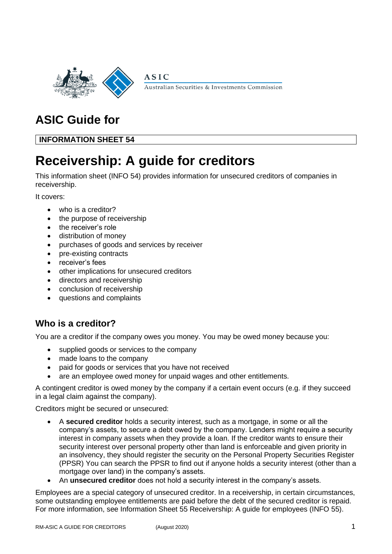

Australian Securities & Investments Commission

# **ASIC Guide for**

**INFORMATION SHEET 54**

# **Receivership: A guide for creditors**

**ASIC** 

This information sheet (INFO 54) provides information for unsecured creditors of companies in receivership.

It covers:

- who is a creditor?
- the purpose of receivership
- the receiver's role
- distribution of money
- purchases of goods and services by receiver
- pre-existing contracts
- receiver's fees
- other implications for unsecured creditors
- directors and receivership
- conclusion of receivership
- questions and complaints

# **Who is a creditor?**

You are a creditor if the company owes you money. You may be owed money because you:

- supplied goods or services to the company
- made loans to the company
- paid for goods or services that you have not received
- are an employee owed money for unpaid wages and other entitlements.

A contingent creditor is owed money by the company if a certain event occurs (e.g. if they succeed in a legal claim against the company).

Creditors might be secured or unsecured:

- A **secured creditor** holds a security interest, such as a mortgage, in some or all the company's assets, to secure a debt owed by the company. Lenders might require a security interest in company assets when they provide a loan. If the creditor wants to ensure their security interest over personal property other than land is enforceable and given priority in an insolvency, they should register the security on the Personal Property Securities Register (PPSR) You can search the PPSR to find out if anyone holds a security interest (other than a mortgage over land) in the company's assets.
- An **unsecured creditor** does not hold a security interest in the company's assets.

Employees are a special category of unsecured creditor. In a receivership, in certain circumstances, some outstanding employee entitlements are paid before the debt of the secured creditor is repaid. For more information, see Information Sheet 55 Receivership: A guide for employees (INFO 55).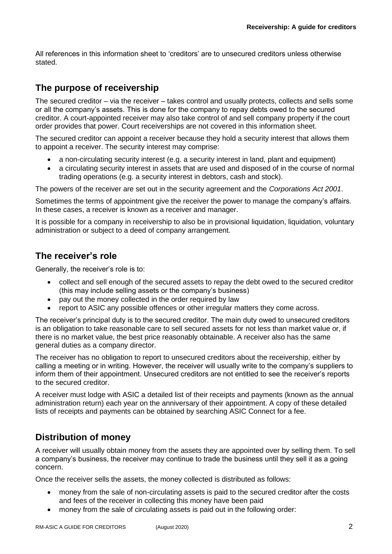All references in this information sheet to 'creditors' are to unsecured creditors unless otherwise stated.

# **The purpose of receivership**

The secured creditor – via the receiver – takes control and usually protects, collects and sells some or all the company's assets. This is done for the company to repay debts owed to the secured creditor. A court-appointed receiver may also take control of and sell company property if the court order provides that power. Court receiverships are not covered in this information sheet.

The secured creditor can appoint a receiver because they hold a security interest that allows them to appoint a receiver. The security interest may comprise:

- a non-circulating security interest (e.g. a security interest in land, plant and equipment)
- a circulating security interest in assets that are used and disposed of in the course of normal trading operations (e.g. a security interest in debtors, cash and stock).

The powers of the receiver are set out in the security agreement and the *Corporations Act 2001*.

Sometimes the terms of appointment give the receiver the power to manage the company's affairs. In these cases, a receiver is known as a receiver and manager.

It is possible for a company in receivership to also be in provisional liquidation, liquidation, voluntary administration or subject to a deed of company arrangement.

# **The receiver's role**

Generally, the receiver's role is to:

- collect and sell enough of the secured assets to repay the debt owed to the secured creditor (this may include selling assets or the company's business)
- pay out the money collected in the order required by law
- report to ASIC any possible offences or other irregular matters they come across.

The receiver's principal duty is to the secured creditor. The main duty owed to unsecured creditors is an obligation to take reasonable care to sell secured assets for not less than market value or, if there is no market value, the best price reasonably obtainable. A receiver also has the same general duties as a company director.

The receiver has no obligation to report to unsecured creditors about the receivership, either by calling a meeting or in writing. However, the receiver will usually write to the company's suppliers to inform them of their appointment. Unsecured creditors are not entitled to see the receiver's reports to the secured creditor.

A receiver must lodge with ASIC a detailed list of their receipts and payments (known as the annual administration return) each year on the anniversary of their appointment. A copy of these detailed lists of receipts and payments can be obtained by searching ASIC Connect for a fee.

# **Distribution of money**

A receiver will usually obtain money from the assets they are appointed over by selling them. To sell a company's business, the receiver may continue to trade the business until they sell it as a going concern.

Once the receiver sells the assets, the money collected is distributed as follows:

- money from the sale of non-circulating assets is paid to the secured creditor after the costs and fees of the receiver in collecting this money have been paid
- money from the sale of circulating assets is paid out in the following order: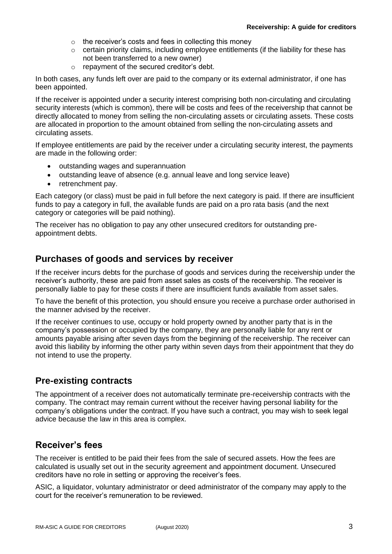- $\circ$  the receiver's costs and fees in collecting this money
- o certain priority claims, including employee entitlements (if the liability for these has not been transferred to a new owner)
- o repayment of the secured creditor's debt.

In both cases, any funds left over are paid to the company or its external administrator, if one has been appointed.

If the receiver is appointed under a security interest comprising both non-circulating and circulating security interests (which is common), there will be costs and fees of the receivership that cannot be directly allocated to money from selling the non-circulating assets or circulating assets. These costs are allocated in proportion to the amount obtained from selling the non-circulating assets and circulating assets.

If employee entitlements are paid by the receiver under a circulating security interest, the payments are made in the following order:

- outstanding wages and superannuation
- outstanding leave of absence (e.g. annual leave and long service leave)
- retrenchment pay.

Each category (or class) must be paid in full before the next category is paid. If there are insufficient funds to pay a category in full, the available funds are paid on a pro rata basis (and the next category or categories will be paid nothing).

The receiver has no obligation to pay any other unsecured creditors for outstanding preappointment debts.

## **Purchases of goods and services by receiver**

If the receiver incurs debts for the purchase of goods and services during the receivership under the receiver's authority, these are paid from asset sales as costs of the receivership. The receiver is personally liable to pay for these costs if there are insufficient funds available from asset sales.

To have the benefit of this protection, you should ensure you receive a purchase order authorised in the manner advised by the receiver.

If the receiver continues to use, occupy or hold property owned by another party that is in the company's possession or occupied by the company, they are personally liable for any rent or amounts payable arising after seven days from the beginning of the receivership. The receiver can avoid this liability by informing the other party within seven days from their appointment that they do not intend to use the property.

## **Pre-existing contracts**

The appointment of a receiver does not automatically terminate pre-receivership contracts with the company. The contract may remain current without the receiver having personal liability for the company's obligations under the contract. If you have such a contract, you may wish to seek legal advice because the law in this area is complex.

## **Receiver's fees**

The receiver is entitled to be paid their fees from the sale of secured assets. How the fees are calculated is usually set out in the security agreement and appointment document. Unsecured creditors have no role in setting or approving the receiver's fees.

ASIC, a liquidator, voluntary administrator or deed administrator of the company may apply to the court for the receiver's remuneration to be reviewed.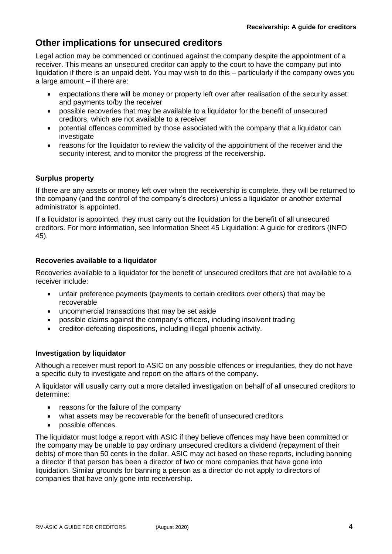## **Other implications for unsecured creditors**

Legal action may be commenced or continued against the company despite the appointment of a receiver. This means an unsecured creditor can apply to the court to have the company put into liquidation if there is an unpaid debt. You may wish to do this – particularly if the company owes you a large amount – if there are:

- expectations there will be money or property left over after realisation of the security asset and payments to/by the receiver
- possible recoveries that may be available to a liquidator for the benefit of unsecured creditors, which are not available to a receiver
- potential offences committed by those associated with the company that a liquidator can investigate
- reasons for the liquidator to review the validity of the appointment of the receiver and the security interest, and to monitor the progress of the receivership.

#### **Surplus property**

If there are any assets or money left over when the receivership is complete, they will be returned to the company (and the control of the company's directors) unless a liquidator or another external administrator is appointed.

If a liquidator is appointed, they must carry out the liquidation for the benefit of all unsecured creditors. For more information, see Information Sheet 45 Liquidation: A guide for creditors (INFO 45).

#### **Recoveries available to a liquidator**

Recoveries available to a liquidator for the benefit of unsecured creditors that are not available to a receiver include:

- unfair preference payments (payments to certain creditors over others) that may be recoverable
- uncommercial transactions that may be set aside
- possible claims against the company's officers, including insolvent trading
- creditor-defeating dispositions, including illegal phoenix activity.

#### **Investigation by liquidator**

Although a receiver must report to ASIC on any possible offences or irregularities, they do not have a specific duty to investigate and report on the affairs of the company.

A liquidator will usually carry out a more detailed investigation on behalf of all unsecured creditors to determine:

- reasons for the failure of the company
- what assets may be recoverable for the benefit of unsecured creditors
- possible offences.

The liquidator must lodge a report with ASIC if they believe offences may have been committed or the company may be unable to pay ordinary unsecured creditors a dividend (repayment of their debts) of more than 50 cents in the dollar. ASIC may act based on these reports, including banning a director if that person has been a director of two or more companies that have gone into liquidation. Similar grounds for banning a person as a director do not apply to directors of companies that have only gone into receivership.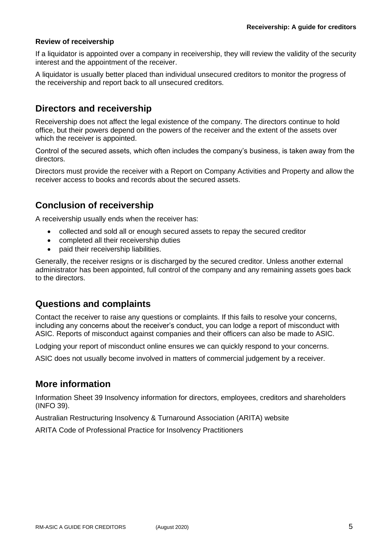#### **Review of receivership**

If a liquidator is appointed over a company in receivership, they will review the validity of the security interest and the appointment of the receiver.

A liquidator is usually better placed than individual unsecured creditors to monitor the progress of the receivership and report back to all unsecured creditors.

## **Directors and receivership**

Receivership does not affect the legal existence of the company. The directors continue to hold office, but their powers depend on the powers of the receiver and the extent of the assets over which the receiver is appointed.

Control of the secured assets, which often includes the company's business, is taken away from the directors.

Directors must provide the receiver with a Report on Company Activities and Property and allow the receiver access to books and records about the secured assets.

## **Conclusion of receivership**

A receivership usually ends when the receiver has:

- collected and sold all or enough secured assets to repay the secured creditor
- completed all their receivership duties
- paid their receivership liabilities.

Generally, the receiver resigns or is discharged by the secured creditor. Unless another external administrator has been appointed, full control of the company and any remaining assets goes back to the directors.

## **Questions and complaints**

Contact the receiver to raise any questions or complaints. If this fails to resolve your concerns, including any concerns about the receiver's conduct, you can lodge a report of misconduct with ASIC. Reports of misconduct against companies and their officers can also be made to ASIC.

Lodging your report of misconduct online ensures we can quickly respond to your concerns.

ASIC does not usually become involved in matters of commercial judgement by a receiver.

## **More information**

Information Sheet 39 Insolvency information for directors, employees, creditors and shareholders (INFO 39).

Australian Restructuring Insolvency & Turnaround Association (ARITA) website

ARITA Code of Professional Practice for Insolvency Practitioners